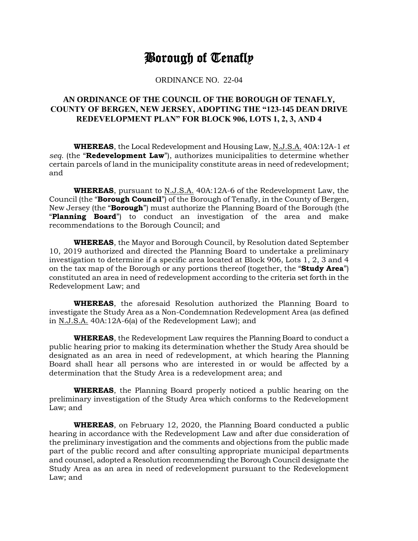## Borough of Tenafly

## ORDINANCE NO. 22-04

## **AN ORDINANCE OF THE COUNCIL OF THE BOROUGH OF TENAFLY, COUNTY OF BERGEN, NEW JERSEY, ADOPTING THE "123-145 DEAN DRIVE REDEVELOPMENT PLAN" FOR BLOCK 906, LOTS 1, 2, 3, AND 4**

**WHEREAS**, the Local Redevelopment and Housing Law, N.J.S.A. 40A:12A-1 *et seq.* (the "**Redevelopment Law**"), authorizes municipalities to determine whether certain parcels of land in the municipality constitute areas in need of redevelopment; and

**WHEREAS**, pursuant to N.J.S.A. 40A:12A-6 of the Redevelopment Law, the Council (the "**Borough Council**") of the Borough of Tenafly, in the County of Bergen, New Jersey (the "**Borough**") must authorize the Planning Board of the Borough (the "**Planning Board**") to conduct an investigation of the area and make recommendations to the Borough Council; and

**WHEREAS**, the Mayor and Borough Council, by Resolution dated September 10, 2019 authorized and directed the Planning Board to undertake a preliminary investigation to determine if a specific area located at Block 906, Lots 1, 2, 3 and 4 on the tax map of the Borough or any portions thereof (together, the "**Study Area**") constituted an area in need of redevelopment according to the criteria set forth in the Redevelopment Law; and

**WHEREAS**, the aforesaid Resolution authorized the Planning Board to investigate the Study Area as a Non-Condemnation Redevelopment Area (as defined in N.J.S.A. 40A:12A-6(a) of the Redevelopment Law); and

**WHEREAS**, the Redevelopment Law requires the Planning Board to conduct a public hearing prior to making its determination whether the Study Area should be designated as an area in need of redevelopment, at which hearing the Planning Board shall hear all persons who are interested in or would be affected by a determination that the Study Area is a redevelopment area; and

**WHEREAS**, the Planning Board properly noticed a public hearing on the preliminary investigation of the Study Area which conforms to the Redevelopment Law; and

**WHEREAS**, on February 12, 2020, the Planning Board conducted a public hearing in accordance with the Redevelopment Law and after due consideration of the preliminary investigation and the comments and objections from the public made part of the public record and after consulting appropriate municipal departments and counsel, adopted a Resolution recommending the Borough Council designate the Study Area as an area in need of redevelopment pursuant to the Redevelopment Law; and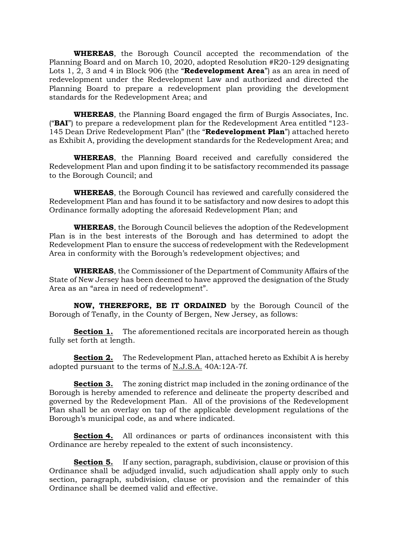**WHEREAS**, the Borough Council accepted the recommendation of the Planning Board and on March 10, 2020, adopted Resolution #R20-129 designating Lots 1, 2, 3 and 4 in Block 906 (the "**Redevelopment Area**") as an area in need of redevelopment under the Redevelopment Law and authorized and directed the Planning Board to prepare a redevelopment plan providing the development standards for the Redevelopment Area; and

**WHEREAS**, the Planning Board engaged the firm of Burgis Associates, Inc. ("**BAI**") to prepare a redevelopment plan for the Redevelopment Area entitled "123- 145 Dean Drive Redevelopment Plan" (the "**Redevelopment Plan**") attached hereto as Exhibit A, providing the development standards for the Redevelopment Area; and

**WHEREAS**, the Planning Board received and carefully considered the Redevelopment Plan and upon finding it to be satisfactory recommended its passage to the Borough Council; and

**WHEREAS**, the Borough Council has reviewed and carefully considered the Redevelopment Plan and has found it to be satisfactory and now desires to adopt this Ordinance formally adopting the aforesaid Redevelopment Plan; and

**WHEREAS**, the Borough Council believes the adoption of the Redevelopment Plan is in the best interests of the Borough and has determined to adopt the Redevelopment Plan to ensure the success of redevelopment with the Redevelopment Area in conformity with the Borough's redevelopment objectives; and

**WHEREAS**, the Commissioner of the Department of Community Affairs of the State of New Jersey has been deemed to have approved the designation of the Study Area as an "area in need of redevelopment".

**NOW, THEREFORE, BE IT ORDAINED** by the Borough Council of the Borough of Tenafly, in the County of Bergen, New Jersey, as follows:

**Section 1.** The aforementioned recitals are incorporated herein as though fully set forth at length.

**Section 2.** The Redevelopment Plan, attached hereto as Exhibit A is hereby adopted pursuant to the terms of N.J.S.A. 40A:12A-7f.

**Section 3.** The zoning district map included in the zoning ordinance of the Borough is hereby amended to reference and delineate the property described and governed by the Redevelopment Plan. All of the provisions of the Redevelopment Plan shall be an overlay on tap of the applicable development regulations of the Borough's municipal code, as and where indicated.

**Section 4.** All ordinances or parts of ordinances inconsistent with this Ordinance are hereby repealed to the extent of such inconsistency.

**Section 5.** If any section, paragraph, subdivision, clause or provision of this Ordinance shall be adjudged invalid, such adjudication shall apply only to such section, paragraph, subdivision, clause or provision and the remainder of this Ordinance shall be deemed valid and effective.